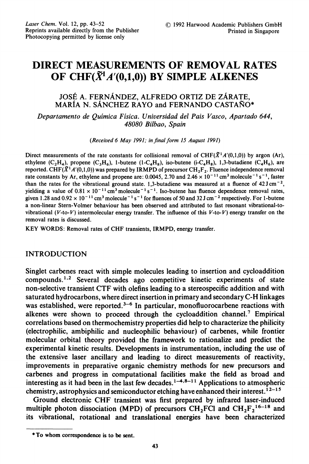# DIRECT MEASUREMENTS OF REMOVAL RATES OF CHF $(\tilde{X}^1 A'(0,1,0))$  BY SIMPLE ALKENES

## JOSÉ A. FERNÁNDEZ, ALFREDO ORTIZ DE ZÁRATE, MARÍA N. SÁNCHEZ RAYO and FERNANDO CASTAÑO\*

Departamento de Quimica Fisica. Universidad del Pais Vasco, Apartado 644, 48080 Bilbao, Spain

(Received 6 May 1991; in final form 15 August 1991)

Direct measurements of the rate constants for collisional removal of CHF( $\tilde{X}^1A'(0,1,0)$ ) by argon (Ar), ethylene  $(C_2H_4)$ , propene  $(C_3H_6)$ , 1-butene  $(1-C_4H_8)$ , iso-butene  $(i-C_4H_8)$ , 1,3-butadiene  $(C_4H_6)$ , are reported. CHF( $\tilde{X}^1A'(0,1,0)$ ) was prepared by IRMPD of precursor CH<sub>2</sub>F<sub>2</sub>. Fluence independence removal rate constants by Ar, ethylene and propene are: 0.0045, 2.70 and  $2.46 \times 10^{-11}$  cm<sup>3</sup> molecule<sup>-1</sup> s<sup>-1</sup>, faster than the rates for the vibrational ground state. 1,3-butadiene was measured at a fluence of  $42 \text{J cm}^{-2}$ , yielding a value of  $0.81 \times 10^{-11}$  cm<sup>3</sup> molecule<sup>-1</sup> s<sup>-1</sup>. Iso-butene has fluence dependence removal rates, given 1.28 and  $0.92 \times 10^{-11}$  cm<sup>3</sup> molecule<sup>-1</sup> s<sup>-1</sup> for fluences of 50 and 32 J cm<sup>-2</sup> respectively. For 1-butene a non-linear Stern-Volmer behaviour has been observed and attributed to fast resonant vibrational-tovibrational  $(V$ -to- $V$ ) intermolecular energy transfer. The influence of this  $V$ -to- $V$ ) energy transfer on the removal rates is discussed.

KEY WORDS: Removal rates of CHF transients, IRMPD, energy transfer.

### INTRODUCTION

Singlet carbenes react with simple molecules leading to insertion and cycloaddition compounds.<sup>1,2</sup> Several decades ago competitive kinetic experiments of state non-selective transient CTF with olefins leading to <sup>a</sup> stereospecific addition and with saturated hydrocarbons, where direct insertion in primary and secondary C-H linkages was established, were reported.<sup>3-6</sup> In particular, monofluorocarbene reactions with alkenes were shown to proceed through the cycloaddition channel.<sup>7</sup> Empirical correlations based on thermochemistry properties did help to characterize the philicity (electrophilic, ambiphilic and nucleophilic behaviour) of carbenes, while frontier molecular orbital theory provided the framework to rationalize and predict the experimental kinetic results. Developments in instrumentation, including the use of the extensive laser ancillary and leading to direct measurements of reactivity, improvements in preparative organic chemistry methods for new precursors and carbenes and progress in computational facilities make the field as broad and interesting as it had been in the last few decades.<sup>1-4,8-11</sup> Applications to atmospheric chemistry, astrophysics and semiconductor etching have enhanced their interest.  $1^{2-15}$ 

Ground electronic CHF transient was first prepared by infrared laser-induced multiple photon dissociation (MPD) of precursors CH<sub>2</sub>FCI and CH<sub>2</sub>F<sub>2</sub><sup>16-18</sup> and its vibrational, rotational and translational energies have been characterized

<sup>\*</sup> To whom correspondence is to be sent.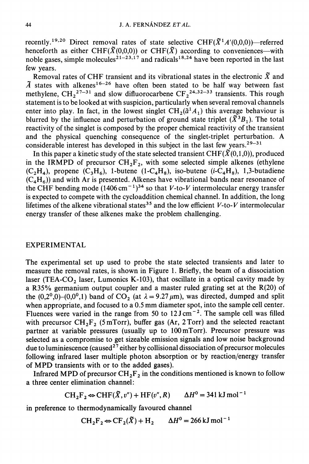recently.<sup>19,20</sup> Direct removal rates of state selective CHF( $\tilde{X}$ <sup>1</sup>A'(0,0,0))—referred henceforth as either CHF( $\tilde{X}(0,0,0)$ ) or CHF( $\tilde{X}$ ) according to conveniences—with noble gases, simple molecules<sup>21-23,17</sup> and radicals<sup>18,24</sup> have been reported in the last few years.

Removal rates of CHF transient and its vibrational states in the electronic  $\tilde{X}$  and  $\tilde{A}$  states with alkenes<sup>16-26</sup> have often been stated to be half way between fast methylene, CH<sub>2</sub><sup>27-31</sup> and slow difluorocarbene CF<sub>2</sub><sup>24,32-33</sup> transients. This rough statement is to be looked at with suspicion, particularly when several removal channels enter into play. In fact, in the lowest singlet  $CH_2(\tilde{a}^1A_1)$  this average behaviour is blurred by the influence and perturbation of ground state triplet  $(\tilde{X}^3B_1)$ . The total reactivity of the singlet is composed by the proper chemical reactivity of the transient and the physical quenching consequence of the singlet-triplet perturbation. A considerable interest has developed in this subject in the last few years.<sup>29-31</sup>

In this paper a kinetic study of the state selected transient CHF( $\tilde{X}(0,1,0)$ ), produced in the IRMPD of precursor  $CH_2F_2$ , with some selected simple alkenes (ethylene  $(C_2H_4)$ , propene  $(C_3H_6)$ , 1-butene (1- $C_4H_8$ ), iso-butene (*i*- $C_4H_8$ ), 1,3-butadiene  $(C_4H_6)$ ) and with Ar is presented. Alkenes have vibrational bands near resonance of the CHF bending mode  $(1406 \text{ cm}^{-1})^{34}$  so that V-to-V intermolecular energy transfer is expected to compete with the cycloaddition chemical channel. In addition, the long lifetimes of the alkene vibrational states<sup>35</sup> and the low efficient  $V$ -to- $V$  intermolecular energy transfer of these alkenes make the problem challenging.

#### EXPERIMENTAL

The experimental set up used to probe the state selected transients and later to measure the removal rates, is shown in Figure 1. Briefly, the beam of a dissociation laser (TEA-CO<sub>2</sub> laser, Lumonics K-103), that oscillate in a optical cavity made by a R35% germanium output coupler and <sup>a</sup> master ruled grating set at the R(20) of the  $(0,2^0,0)-(0,0^0,1)$  band of CO<sub>2</sub> (at  $\lambda = 9.27 \,\mu\text{m}$ ), was directed, dumped and split when appropriate, and focused to <sup>a</sup> 0.5 mm diameter spot, into the sample cell center. Fluences were varied in the range from 50 to  $12 \text{ J cm}^{-2}$ . The sample cell was filled with precursor  $\text{CH}_2\text{F}_2$  (5 mTorr), buffer gas (Ar, 2 Torr) and the selected reactant partner at variable pressures (usually up to 100mTorr). Precursor pressure was selected as a compromise to get sizeable emission signals and low noise background due to luminiescence (caused $^{27}$  either by collisional dissociation of precursor molecules following infrared laser multiple photon absorption or by reaction/energy transfer of MPD transients with or to the added gases).

Infrared MPD of precursor  $\text{CH}_2\text{F}_2$  in the conditions mentioned is known to follow a three center elimination channel:

$$
CH_2F_2 \Leftrightarrow CHF(\tilde{X}, v'') + HF(v'', R) \qquad \Delta H^0 = 341 \,\text{kJ mol}^{-1}
$$

in preference to thermodynamically favoured channel

$$
CH_2F_2 \Leftrightarrow CF_2(\tilde{X}) + H_2 \qquad \Delta H^0 = 266 \text{ kJ} \text{ mol}^{-1}
$$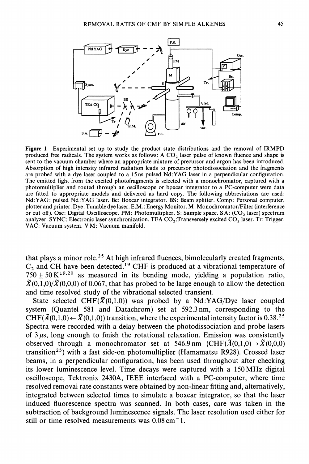

Figure 1 Experimental set up to study the product state distributions and the removal of IRMPD produced free radicals. The system works as follows: A  $CO<sub>2</sub>$  laser pulse of known fluence and shape is sent to the vacuum chamber where an appropriate mixture of precursor and argon has been introduced. Absorption of high intensity infrared radiation leads to precursor photodissociation and the fragments are probed with a dye laser coupled to a <sup>15</sup> ns pulsed Nd:YAG laser in a perpendicular configuration. The emitted light from the excited photofragments is selected with a monochromator, captured with a photomultiplier and routed through an oscilloscope or boxcar integrator to a PC-computer were data are fitted to appropriate models and delivered as hard copy. The following abbreviations are used: Nd:YAG: pulsed Nd:YAG laser. Bc: Boxcar integrator. BS: Beam splitter. Comp: Personal computer, plotter and printer. Dye: Tunable dye laser. E.M.: Energy Monitor. M: Monochromator/Filter (interference or cut off). Osc: Digital Oscilloscope. PM: Photomultiplier. S: Sample space. SA:  $(CO<sub>2</sub>$  laser) spectrum analyzer. SYNC: Electronic laser synchronization. TEA  $CO_2$ : Transversely excited  $CO_2$  laser. Tr: Trigger. VAC: Vacuum system. V M: Vacuum manifold.

that plays a minor role.<sup>25</sup> At high infrared fluences, bimolecularly created fragments,  $C_2$  and CH have been detected.<sup>19</sup> CHF is produced at a vibrational temperature of  $750 \pm 50 \text{ K}^{19,20}$  as measured in its bending mode, yielding a population ratio,  $\widetilde{X}(0,1,0)/\widetilde{X}(0,0,0)$  of 0.067, that has probed to be large enough to allow the detection and time resolved study of the vibrational selected transient.

State selected CHF( $\tilde{X}(0,1,0)$ ) was probed by a Nd:YAG/Dye laser coupled system (Quantel 581 and Datachrom) set at 592.3nm, corresponding to the CHF( $\tilde{A}(0,1,0) \leftarrow \tilde{X}(0,1,0)$ ) transition, where the experimental intensity factor is 0.38.<sup>25</sup> CHF( $\tilde{A}(0,1,0) \leftarrow \tilde{X}(0,1,0)$ ) transition, where the experimental intensity factor is 0.38.<sup>25</sup><br>Spectra were recorded with a delay between the photodissociation and probe lasers of  $3 \mu s$ , long enough to finish the rotational relaxation. Emission was consistently observed through a monochromator set at 546.9 nm (CHF( $\tilde{\Lambda}(0,1,0) \rightarrow \tilde{X}(0,0,0)$ ) transition<sup>25</sup>) with a fast side-on photomultiplier (Hamamatsu R928). Crossed laser beams, in a perpendicular configuration, has been used throughout after checking its lower luminescence level. Time decays were captured with <sup>a</sup> <sup>150</sup> MHz digital oscilloscope, Tektronix 2430A, IEEE interfaced with a PC-computer, where time resolved removal rate constants were obtained by non-linear fitting and, alternatively, integrated between selected times to simulate a boxcar integrator, so that the laser induced fluorescence spectra was scanned. In both cases, care was taken in the subtraction of background luminescence signals. The laser resolution used either for still or time resolved measurements was  $0.08 \text{ cm}^{-1}$ .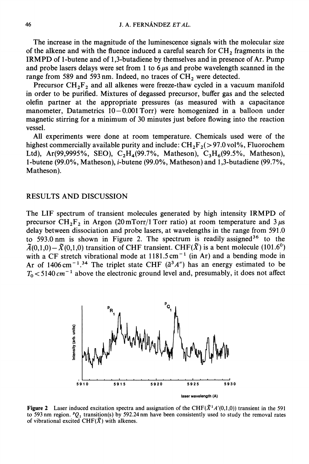The increase in the magnitude of the luminescence signals with the molecular size of the alkene and with the fluence induced a careful search for  $CH<sub>2</sub>$  fragments in the IRMPD of 1-butene and of 1,3-butadiene by themselves and in presence of Ar. Pump and probe lasers delays were set from 1 to 6  $\mu$ s and probe wavelength scanned in the range from 589 and 593 nm. Indeed, no traces of  $\text{CH}_2$  were detected.

Precursor  $CH_2F_2$  and all alkenes were freeze-thaw cycled in a vacuum manifold in order to be purified. Mixtures of degassed precursor, buffer gas and the selected olefin partner at the appropriate pressures (as measured with a capacitance manometer, Datametrics  $10-0.001$  Torr) were homogenized in a balloon under magnetic stirring for a minimum of 30 minutes just before flowing into the reaction vessel.

All experiments were done at room temperature. Chemicals used were of the highest commercially available purity and include:  $CH_2F_2(> 97.0 \text{ vol\%},$  Fluorochem Ltd), Ar(99,9995%, SEO), C<sub>2</sub>H<sub>4</sub>(99.7%, Matheson), C<sub>3</sub>H<sub>6</sub>(99.5%, Matheson), 1-butene (99.0%, Matheson), i-butene (99.0%, Matheson) and 1,3-butadiene (99.7%, Matheson).

#### RESULTS AND DISCUSSION

The LIF spectrum of transient molecules generated by high intensity IRMPD of precursor CH<sub>2</sub>F<sub>2</sub> in Argon (20 mTorr/1 Torr ratio) at room temperature and  $3 \mu s$ delay between dissociation and probe lasers, at wavelengths in the range from 591.0 to 593.0 nm is shown in Figure 2. The spectrum is readily assigned<sup>36</sup> to the  $\tilde{\Lambda}(0,1,0)-\tilde{X}(0,1,0)$  transition of CHF transient. CHF( $\tilde{X}$ ) is a bent molecule (101.6<sup>0</sup>) with a CF stretch vibrational mode at  $1181.5 \text{ cm}^{-1}$  (in Ar) and a bending mode in Ar of 1406 cm<sup>-1.34</sup> The triplet state CHF ( $\tilde{a}^3$ A") has an energy estimated to be  $T_0 < 5140 \text{ cm}^{-1}$  above the electronic ground level and, presumably, it does not affect



**Figure 2** Laser induced excitation spectra and assignation of the CHF( $\tilde{X}^1A'(0,1,0)$ ) transient in the 591 to 593 nm region.  $PQ_1$  transition(s) by 592.24 nm have been consistently used to study the removal rates of vibrational excited CHF( $\tilde{X}$ ) with alkenes.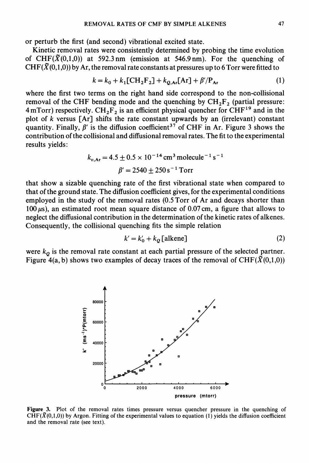or perturb the first (and second) vibrational excited state.

Kinetic removal rates were consistently determined by probing the time evolution of CHF( $\tilde{X}(0,1,0)$ ) at 592.3 nm (emission at 546.9 nm). For the quenching of CHF( $\widetilde{X}(0,1,0)$ ) by Ar, the removal rate constants at pressures up to 6 Torr were fitted to

$$
k = k_0 + k_1 \text{[CH}_2\text{F}_2\text{]} + k_{Q,Ar}\text{[Ar]} + \beta'/\text{P}_{Ar}
$$
 (1)

where the first two terms on the right hand side correspond to the non-collisional removal of the CHF bending mode and the quenching by  $CH_2F_2$  (partial pressure: 4 mTorr) respectively.  $\text{CH}_2\text{F}_2$  is an efficient physical quencher for  $\text{CHF}^{19}$  and in the plot of k versus [Ar] shifts the rate constant upwards by an (irrelevant) constant quantity. Finally,  $\beta'$  is the diffusion coefficient<sup>37</sup> of CHF in Ar. Figure 3 shows the contribution of the collisional and diffusional removal rates. The fit to the experimental results yields:

$$
k_{v,Ar} = 4.5 \pm 0.5 \times 10^{-14} \text{ cm}^3 \text{ molecule}^{-1} \text{ s}^{-1}
$$
  
 $\beta' = 2540 \pm 250 \text{ s}^{-1} \text{ Torr}$ 

that show a sizable quenching rate of the first vibrational state when compared to that of the ground state. The diffusion coefficient gives, for the experimental conditions employed in the study of the removal rates (0.5 Torr of Ar and decays shorter than 100  $\mu$ s), an estimated root mean square distance of 0.07 cm, a figure that allows to neglect the diffusional contribution in the determination of the kinetic rates of alkenes. Consequently, the collisional quenching fits the simple relation

$$
k' = k'_0 + k_Q \text{[alkene]}
$$
 (2)

were  $k_{q}$  is the removal rate constant at each partial pressure of the selected partner. Figure  $4(a, b)$  shows two examples of decay traces of the removal of CHF( $\tilde{X}(0,1,0)$ )



Figure 3. Plot of the removal rates times pressure versus quencher pressure in the quenching of  $CHF(\tilde{X}(0,1,0))$  by Argon. Fitting of the experimental values to equation (1) yields the diffusion coefficient and the removal rate (see text).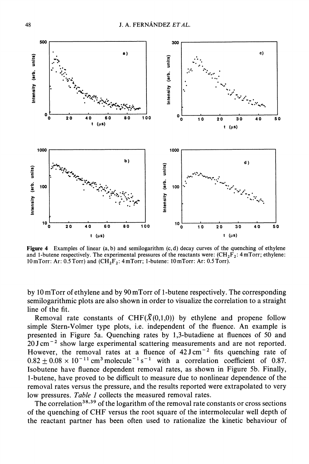

Figure 4 Examples of linear  $(a, b)$  and semilogarithm  $(c, d)$  decay curves of the quenching of ethylene and 1-butene respectively. The experimental pressures of the reactants were:  $(CH_2F_2$ : 4 mTorr; ethylene: 10 mTorr: Ar: 0.5 Torr) and  $(CH_2F_2$ : 4 mTorr; 1-butene: 10 mTorr: Ar: 0.5 Torr).

by 10 mTorr of ethylene and by 90 mTorr of 1-butene respectively. The corresponding semilogarithmic plots are also shown in order to visualize the correlation to a straight line of the fit.

Removal rate constants of CHF( $\tilde{X}(0,1,0)$ ) by ethylene and propene follow simple Stern-Volmer type plots, i.e. independent of the fluence. An example is presented in Figure 5a. Quenching rates by 1,3-butadiene at fluences of 50 and 20J cm-2 show large experimental scattering measurements and are not reported. However, the removal rates at a fluence of  $42 \text{ J cm}^{-2}$  fits quenching rate of  $0.82 \pm 0.08 \times 10^{-11}$  cm<sup>3</sup> molecule<sup>-1</sup> s<sup>-1</sup> with a correlation coefficient of 0.87. Isobutene have fluence dependent removal rates, as shown in Figure 5b. Finally, 1-butene, have proved to be difficult to measure due to nonlinear dependence of the removal rates versus the pressure, and the results reported were extrapolated to very low pressures. Table 1 collects the measured removal rates.

The correlation<sup>38,39</sup> of the logarithm of the removal rate constants or cross sections of the quenching of CHF versus the root square of the intermolecular well depth of the reactant partner has been often used to rationalize the kinetic behaviour of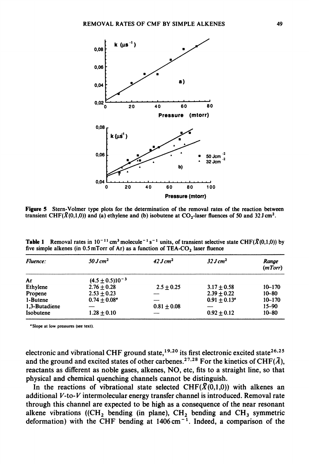

Figure 5 Stern-Volmer type plots for the determination of the removal rates of the reaction between transient CHF( $\tilde{X}(0,1,0)$ ) and (a) ethylene and (b) isobutene at CO<sub>2</sub>-laser fluences of 50 and 32 J cm<sup>2</sup>.

| Fluence:      | $50 \text{ J} \text{ cm}^2$ | 42 J cm <sup>2</sup> | $32 J \, \text{cm}^2$ | Range<br>(mTorr) |
|---------------|-----------------------------|----------------------|-----------------------|------------------|
| Ar            | $(4.5 \pm 0.5)10^{-3}$      |                      |                       |                  |
| Ethylene      | $2.76 \pm 0.28$             | $2.5 + 0.25$         | $3.17 + 0.58$         | $10 - 170$       |
| Propene       | $2.53 + 0.23$               |                      | $2.39 + 0.22$         | $10 - 80$        |
| 1-Butene      | $0.74 + 0.08^a$             |                      | $0.91 + 0.13^{\circ}$ | $10 - 170$       |
| 1.3-Butadiene |                             | $0.81 + 0.08$        |                       | $15 - 90$        |
| Isobutene     | $1.28 + 0.10$               |                      | $0.92 + 0.12$         | $10 - 80$        |

**Table 1** Removal rates in  $10^{-11}$  cm<sup>3</sup> molecule<sup>-1</sup> s<sup>-1</sup> units, of transient selective state CHF( $\bar{X}(0,1,0)$ ) by five simple alkenes (in  $0.5 \text{ mTorr}$  of Ar) as a function of TEA-CO<sub>2</sub> laser fluence

"Slope at low pressures (see text).

electronic and vibrational CHF ground state,  $19,20$  its first electronic excited state<sup>26,25</sup> and the ground and excited states of other carbenes.<sup>27,28</sup> For the kinetics of CHF( $\tilde{A}$ ), reactants as different as noble gases, alkenes, NO, etc, fits to a straight line, so that physical and chemical quenching channels cannot be distinguish.

In the reactions of vibrational state selected CHF( $\tilde{X}(0,1,0)$ ) with alkenes an additional V-to-V intermolecular energy transfer channel is introduced. Removal rate through this channel are expected to be high as a consequence of the near resonant alkene vibrations ((CH<sub>2</sub> bending (in plane), CH<sub>2</sub> bending and CH<sub>3</sub> symmetric deformation) with the CHF bending at  $1406 \text{ cm}^{-1}$ . Indeed, a comparison of the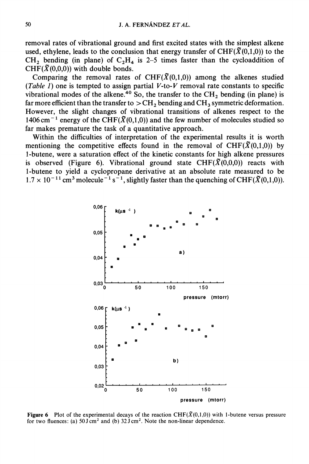removal rates of vibrational ground and first excited states with the simplest alkene used, ethylene, leads to the conclusion that energy transfer of  $CHF(\tilde{X}(0,1,0))$  to the  $CH_2$  bending (in plane) of  $C_2H_4$  is 2-5 times faster than the cycloaddition of CHF( $\tilde{X}(0,0,0)$ ) with double bonds.

Comparing the removal rates of CHF( $\tilde{X}(0,1,0)$ ) among the alkenes studied (Table 1) one is tempted to assign partial V-to-V removal rate constants to specific vibrational modes of the alkene.<sup>40</sup> So, the transfer to the CH<sub>2</sub> bending (in plane) is far more efficient than the transfer to  $>CH_2$  bending and  $CH_3$  symmetric deformation. However, the slight changes of vibrational transitions of alkenes respect to the 1406 cm<sup>-1</sup> energy of the CHF( $\tilde{X}(0,1,0)$ ) and the few number of molecules studied so far makes premature the task of a quantitative approach.

Within the difficulties of interpretation of the experimental results it is worth mentioning the competitive effects found in the removal of CHF( $\tilde{X}(0,1,0)$ ) by 1-butene, were a saturation effect of the kinetic constants for high alkene pressures is observed (Figure 6). Vibrational ground state CHF( $\tilde{X}(0,0,0)$ ) reacts with 1-butene to yield a cyclopropane derivative at an absolute rate measured to be  $1.7 \times 10^{-11}$  cm<sup>3</sup> molecule<sup>-1</sup> s<sup>-1</sup>, slightly faster than the quenching of CHF( $\tilde{X}(0,1,0)$ ).



**Figure 6** Plot of the experimental decays of the reaction CHF( $\tilde{X}(0,1,0)$ ) with 1-butene versus pressure for two fluences: (a)  $50 \text{ J cm}^2$  and (b)  $32 \text{ J cm}^2$ . Note the non-linear dependence.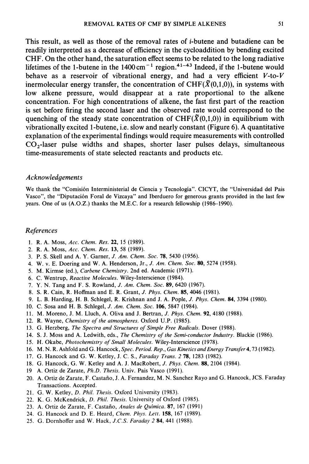This result, as well as those of the removal rates of i-butene and butadiene can be readily interpreted as a decrease of efficiency in the cycloaddition by bending excited CHF. On the other hand, the saturation effect seems to be related to the long radiative lifetimes of the 1-butene in the  $1400 \text{ cm}^{-1}$  region.<sup>41-43</sup> Indeed, if the 1-butene would behave as a reservoir of vibrational energy, and had a very efficient  $V$ -to- $V$ inermolecular energy transfer, the concentration of CHF( $\tilde{X}(0,1,0)$ ), in systems with low alkene pressure, would disappear at a rate proportional to the alkene concentration. For high concentrations of alkene, the fast first part of the reaction is set before firing the second laser and the observed rate would correspond to the quenching of the steady state concentration of CHF( $\tilde{X}(0,1,0)$ ) in equilibrium with vibrationally excited 1-butene, i.e. slow and nearly constant (Figure 6). A quantitative explanation of the experimental findings would require measurements with controlled  $CO<sub>2</sub>$ -laser pulse widths and shapes, shorter laser pulses delays, simultaneous time-measurements of state selected reactants and products etc.

#### Acknowledgements

We thank the "Comisión Interministerial de Ciencia y Tecnología". CICYT, the "Universidad del Pais Vasco", the "Diputación Foral de Vizcaya" and Iberduero for generous grants provided in the last few years. One of us (A.O.Z.) thanks the M.E.C. for a research fellowship (1986-1990).

#### References

- 1. R. A. Moss, Acc. Chem. Res. 22, 15 (1989).
- 2. R. A. Moss, Acc. Chem. Res. 13, 58 (1989).
- 3. P. S. Skell and A. Y. Garner, J. Am. Chem. Soc. 78, 5430 (1956).
- 4. W. v. E. Doering and W. A. Henderson, Jr., J. Am. Chem. Soc. 80, 5274 (1958).
- 5. M. Kirmse (ed.), Carbene Chemistry. 2nd ed. Academic (1971).
- 6. C. Wentrup, Reactive Molecules. Wiley-Interscience (1984).
- 7. Y. N. Tang and F. S. Rowland, J. Am. Chem. Soc. \$9, 6420 (1967).
- 8. S. R. Cain, R. Hoffman and E. R. Grant, J. Phys. Chem. \$5, 4046 {1981).
- 9. L. B. Harding, H. B. Schlegel, R. Krishnan and J. A. Pople, J. Phys. Chem. 84, 3394 (1980).
- 10. C. Sosa and H. B. Schlegel, J. Am. Chem. Soc. 106, 5847 (1984).
- ll. M. Moreno, J. M. Lluch, A. Oliva and J. Bertran, J. Phys. Chem. 92, 4180 {1988).
- 12. R. Wayne, Chemistry of the atmospheres. Oxford U.P. (1985).
- 13. G. Herzberg, The Spectra and Structures of Simple Free Radicals. Dover {1988).
- 14. S. J. Moss and A. Ledwith, eds., The Chemistry of the Semi-conductor Industry. Blackie {1986).
- 15. H. Okabe, Photochemistry of Small Molecules. Wiley-Interscience {1978).
- 16. M.N.R. Ashfold and G. Hancock, Spec. Period. Rep., Gas Kinetics and Energy Transfer 4, 73 (1982).
- 17. G. Hancock and G. W. Ketley, J. C. S., Faraday Trans. 2 78, 1283 (1982).
- 18. G. Hancock, G. W. Ketley and A. J. MacRobert, J. Phys. Chem. \$\$, 2104 {1984).
- 19 A. Ortiz de Zarate, Ph.D. Thesis. Univ. Pais Vasco {1991).
- 20. A. Ortiz de Zarate, F. Castafio, J. A. Fernandez, M. N. Sanchez Rayo and G. Hancock, JCS. Faraday Transactions. Accepted.
- 21. G. W. Ketley, D. Phil. Thesis. Oxford University (1983).
- 22. K. G. McKendrick, D. Phil. Thesis. University of Oxford (1985).
- 23. A. Ortiz de Zarate, F. Castafio, Anales de Quimica. 87, 167 {1991)
- 24. G. Hancock and D. E. Heard, Chem. Phys. Lett. 158, 167 (1989).
- 25. G. Dornhoffer and W. Hack, *J.C.S. Faraday* 2 84, 441 (1988).